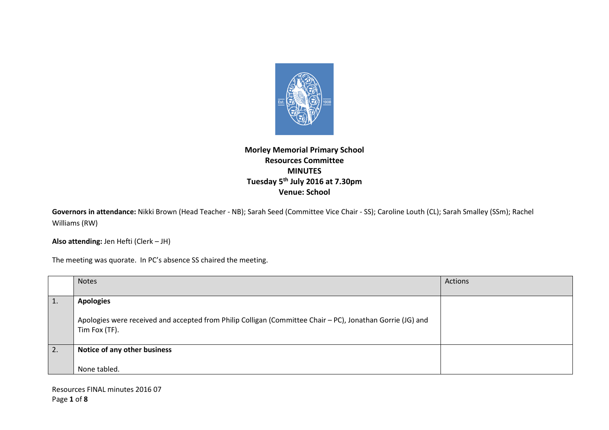

## **Morley Memorial Primary School Resources Committee MINUTES Tuesday 5th July 2016 at 7.30pm Venue: School**

**Governors in attendance:** Nikki Brown (Head Teacher - NB); Sarah Seed (Committee Vice Chair - SS); Caroline Louth (CL); Sarah Smalley (SSm); Rachel Williams (RW)

**Also attending:** Jen Hefti (Clerk – JH)

The meeting was quorate. In PC's absence SS chaired the meeting.

|    | <b>Notes</b>                                                                                                                                    | Actions |
|----|-------------------------------------------------------------------------------------------------------------------------------------------------|---------|
|    | <b>Apologies</b><br>Apologies were received and accepted from Philip Colligan (Committee Chair - PC), Jonathan Gorrie (JG) and<br>Tim Fox (TF). |         |
| 2. | Notice of any other business<br>None tabled.                                                                                                    |         |

Resources FINAL minutes 2016 07 Page **1** of **8**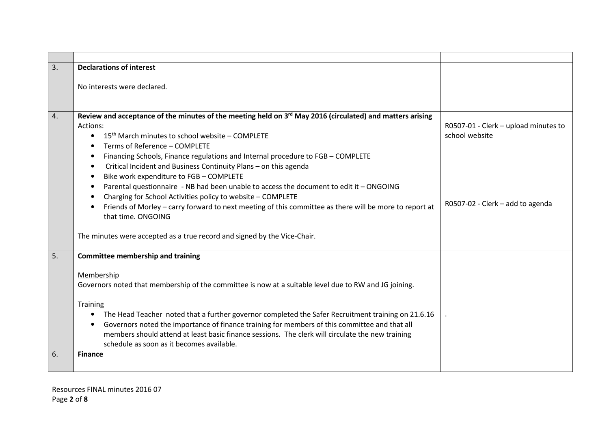| 3. | <b>Declarations of interest</b>                                                                                                                                                                                                                                                                                                                                                                                                                                                                                                                                                                                                                                                                                                                                                                                                                       |                                                                                            |
|----|-------------------------------------------------------------------------------------------------------------------------------------------------------------------------------------------------------------------------------------------------------------------------------------------------------------------------------------------------------------------------------------------------------------------------------------------------------------------------------------------------------------------------------------------------------------------------------------------------------------------------------------------------------------------------------------------------------------------------------------------------------------------------------------------------------------------------------------------------------|--------------------------------------------------------------------------------------------|
|    | No interests were declared.                                                                                                                                                                                                                                                                                                                                                                                                                                                                                                                                                                                                                                                                                                                                                                                                                           |                                                                                            |
| 4. | Review and acceptance of the minutes of the meeting held on 3 <sup>rd</sup> May 2016 (circulated) and matters arising<br>Actions:<br>15 <sup>th</sup> March minutes to school website - COMPLETE<br>$\bullet$<br>Terms of Reference - COMPLETE<br>٠<br>Financing Schools, Finance regulations and Internal procedure to FGB - COMPLETE<br>$\bullet$<br>Critical Incident and Business Continuity Plans - on this agenda<br>Bike work expenditure to FGB - COMPLETE<br>$\bullet$<br>Parental questionnaire - NB had been unable to access the document to edit it - ONGOING<br>Charging for School Activities policy to website - COMPLETE<br>Friends of Morley - carry forward to next meeting of this committee as there will be more to report at<br>that time. ONGOING<br>The minutes were accepted as a true record and signed by the Vice-Chair. | R0507-01 - Clerk - upload minutes to<br>school website<br>R0507-02 - Clerk - add to agenda |
| 5. | <b>Committee membership and training</b><br>Membership<br>Governors noted that membership of the committee is now at a suitable level due to RW and JG joining.<br><b>Training</b><br>The Head Teacher noted that a further governor completed the Safer Recruitment training on 21.6.16<br>$\bullet$<br>Governors noted the importance of finance training for members of this committee and that all<br>$\bullet$<br>members should attend at least basic finance sessions. The clerk will circulate the new training                                                                                                                                                                                                                                                                                                                               |                                                                                            |
|    | schedule as soon as it becomes available.                                                                                                                                                                                                                                                                                                                                                                                                                                                                                                                                                                                                                                                                                                                                                                                                             |                                                                                            |
| 6. | <b>Finance</b>                                                                                                                                                                                                                                                                                                                                                                                                                                                                                                                                                                                                                                                                                                                                                                                                                                        |                                                                                            |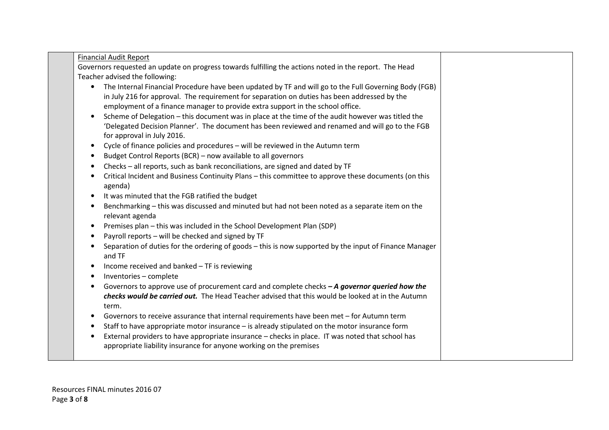| <b>Financial Audit Report</b>                                                                                                  |  |
|--------------------------------------------------------------------------------------------------------------------------------|--|
| Governors requested an update on progress towards fulfilling the actions noted in the report. The Head                         |  |
| Teacher advised the following:                                                                                                 |  |
| The Internal Financial Procedure have been updated by TF and will go to the Full Governing Body (FGB)<br>$\bullet$             |  |
| in July 216 for approval. The requirement for separation on duties has been addressed by the                                   |  |
| employment of a finance manager to provide extra support in the school office.                                                 |  |
| Scheme of Delegation - this document was in place at the time of the audit however was titled the<br>$\bullet$                 |  |
| 'Delegated Decision Planner'. The document has been reviewed and renamed and will go to the FGB                                |  |
|                                                                                                                                |  |
| for approval in July 2016.                                                                                                     |  |
| Cycle of finance policies and procedures - will be reviewed in the Autumn term<br>$\bullet$                                    |  |
| Budget Control Reports (BCR) - now available to all governors<br>$\bullet$                                                     |  |
| Checks - all reports, such as bank reconciliations, are signed and dated by TF<br>$\bullet$                                    |  |
| Critical Incident and Business Continuity Plans - this committee to approve these documents (on this<br>agenda)                |  |
| It was minuted that the FGB ratified the budget<br>$\bullet$                                                                   |  |
| Benchmarking - this was discussed and minuted but had not been noted as a separate item on the<br>$\bullet$<br>relevant agenda |  |
| Premises plan - this was included in the School Development Plan (SDP)<br>$\bullet$                                            |  |
| Payroll reports - will be checked and signed by TF                                                                             |  |
| Separation of duties for the ordering of goods - this is now supported by the input of Finance Manager                         |  |
| and TF                                                                                                                         |  |
| Income received and banked - TF is reviewing<br>$\bullet$                                                                      |  |
| Inventories - complete<br>$\bullet$                                                                                            |  |
| Governors to approve use of procurement card and complete checks $-A$ governor queried how the                                 |  |
| checks would be carried out. The Head Teacher advised that this would be looked at in the Autumn                               |  |
| term.                                                                                                                          |  |
| Governors to receive assurance that internal requirements have been met - for Autumn term<br>$\bullet$                         |  |
| Staff to have appropriate motor insurance - is already stipulated on the motor insurance form<br>$\bullet$                     |  |
| External providers to have appropriate insurance - checks in place. IT was noted that school has                               |  |
| appropriate liability insurance for anyone working on the premises                                                             |  |
|                                                                                                                                |  |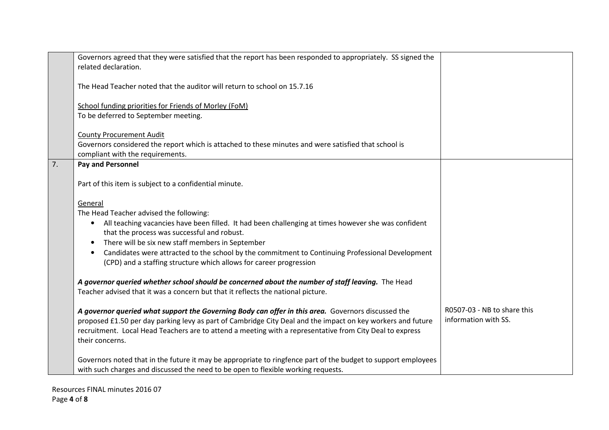|    | Governors agreed that they were satisfied that the report has been responded to appropriately. SS signed the                                                                                       |                             |
|----|----------------------------------------------------------------------------------------------------------------------------------------------------------------------------------------------------|-----------------------------|
|    | related declaration.                                                                                                                                                                               |                             |
|    | The Head Teacher noted that the auditor will return to school on 15.7.16                                                                                                                           |                             |
|    | <b>School funding priorities for Friends of Morley (FoM)</b>                                                                                                                                       |                             |
|    | To be deferred to September meeting.                                                                                                                                                               |                             |
|    |                                                                                                                                                                                                    |                             |
|    | <b>County Procurement Audit</b>                                                                                                                                                                    |                             |
|    | Governors considered the report which is attached to these minutes and were satisfied that school is                                                                                               |                             |
|    | compliant with the requirements.                                                                                                                                                                   |                             |
| 7. | <b>Pay and Personnel</b>                                                                                                                                                                           |                             |
|    | Part of this item is subject to a confidential minute.                                                                                                                                             |                             |
|    | General                                                                                                                                                                                            |                             |
|    | The Head Teacher advised the following:                                                                                                                                                            |                             |
|    | All teaching vacancies have been filled. It had been challenging at times however she was confident<br>$\bullet$                                                                                   |                             |
|    | that the process was successful and robust.                                                                                                                                                        |                             |
|    | There will be six new staff members in September                                                                                                                                                   |                             |
|    | Candidates were attracted to the school by the commitment to Continuing Professional Development<br>$\bullet$                                                                                      |                             |
|    | (CPD) and a staffing structure which allows for career progression                                                                                                                                 |                             |
|    |                                                                                                                                                                                                    |                             |
|    | A governor queried whether school should be concerned about the number of staff leaving. The Head<br>Teacher advised that it was a concern but that it reflects the national picture.              |                             |
|    |                                                                                                                                                                                                    |                             |
|    | A governor queried what support the Governing Body can offer in this area. Governors discussed the                                                                                                 | R0507-03 - NB to share this |
|    | proposed £1.50 per day parking levy as part of Cambridge City Deal and the impact on key workers and future                                                                                        | information with SS.        |
|    | recruitment. Local Head Teachers are to attend a meeting with a representative from City Deal to express                                                                                           |                             |
|    | their concerns.                                                                                                                                                                                    |                             |
|    |                                                                                                                                                                                                    |                             |
|    | Governors noted that in the future it may be appropriate to ringfence part of the budget to support employees<br>with such charges and discussed the need to be open to flexible working requests. |                             |
|    |                                                                                                                                                                                                    |                             |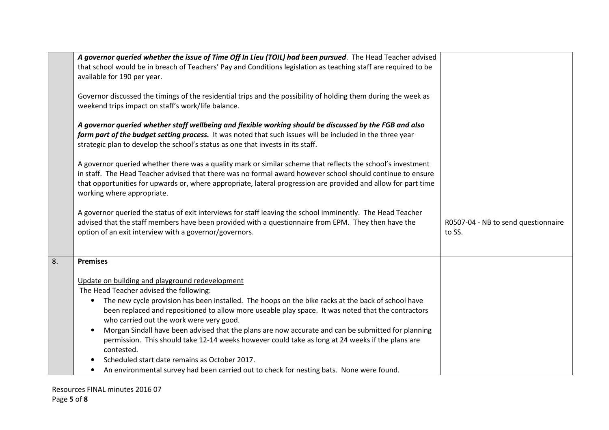|    | A governor queried whether the issue of Time Off In Lieu (TOIL) had been pursued. The Head Teacher advised<br>that school would be in breach of Teachers' Pay and Conditions legislation as teaching staff are required to be                                                                                                                                             |                                               |
|----|---------------------------------------------------------------------------------------------------------------------------------------------------------------------------------------------------------------------------------------------------------------------------------------------------------------------------------------------------------------------------|-----------------------------------------------|
|    | available for 190 per year.                                                                                                                                                                                                                                                                                                                                               |                                               |
|    | Governor discussed the timings of the residential trips and the possibility of holding them during the week as<br>weekend trips impact on staff's work/life balance.                                                                                                                                                                                                      |                                               |
|    | A governor queried whether staff wellbeing and flexible working should be discussed by the FGB and also<br>form part of the budget setting process. It was noted that such issues will be included in the three year<br>strategic plan to develop the school's status as one that invests in its staff.                                                                   |                                               |
|    | A governor queried whether there was a quality mark or similar scheme that reflects the school's investment<br>in staff. The Head Teacher advised that there was no formal award however school should continue to ensure<br>that opportunities for upwards or, where appropriate, lateral progression are provided and allow for part time<br>working where appropriate. |                                               |
|    | A governor queried the status of exit interviews for staff leaving the school imminently. The Head Teacher<br>advised that the staff members have been provided with a questionnaire from EPM. They then have the<br>option of an exit interview with a governor/governors.                                                                                               | R0507-04 - NB to send questionnaire<br>to SS. |
| 8. | <b>Premises</b>                                                                                                                                                                                                                                                                                                                                                           |                                               |
|    | Update on building and playground redevelopment                                                                                                                                                                                                                                                                                                                           |                                               |
|    | The Head Teacher advised the following:                                                                                                                                                                                                                                                                                                                                   |                                               |
|    | The new cycle provision has been installed. The hoops on the bike racks at the back of school have<br>$\bullet$                                                                                                                                                                                                                                                           |                                               |
|    | been replaced and repositioned to allow more useable play space. It was noted that the contractors<br>who carried out the work were very good.                                                                                                                                                                                                                            |                                               |
|    | Morgan Sindall have been advised that the plans are now accurate and can be submitted for planning<br>$\bullet$                                                                                                                                                                                                                                                           |                                               |
|    | permission. This should take 12-14 weeks however could take as long at 24 weeks if the plans are<br>contested.                                                                                                                                                                                                                                                            |                                               |
|    | Scheduled start date remains as October 2017.                                                                                                                                                                                                                                                                                                                             |                                               |
|    | An environmental survey had been carried out to check for nesting bats. None were found.<br>$\bullet$                                                                                                                                                                                                                                                                     |                                               |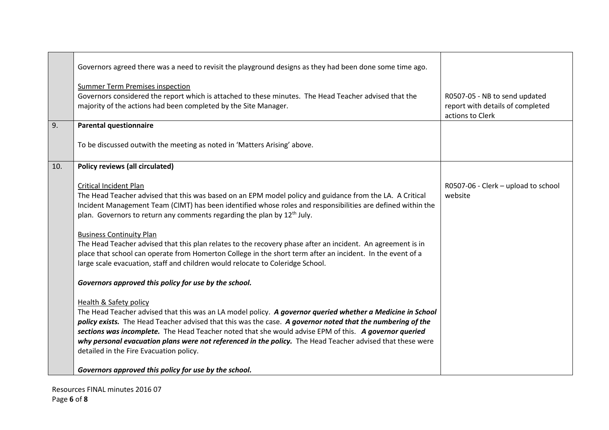|     | Governors agreed there was a need to revisit the playground designs as they had been done some time ago.                                                                                                                                                                                                                                                                                                                                                                                                                       |                                                                                       |
|-----|--------------------------------------------------------------------------------------------------------------------------------------------------------------------------------------------------------------------------------------------------------------------------------------------------------------------------------------------------------------------------------------------------------------------------------------------------------------------------------------------------------------------------------|---------------------------------------------------------------------------------------|
|     | <b>Summer Term Premises inspection</b><br>Governors considered the report which is attached to these minutes. The Head Teacher advised that the<br>majority of the actions had been completed by the Site Manager.                                                                                                                                                                                                                                                                                                             | R0507-05 - NB to send updated<br>report with details of completed<br>actions to Clerk |
| 9.  | <b>Parental questionnaire</b>                                                                                                                                                                                                                                                                                                                                                                                                                                                                                                  |                                                                                       |
|     | To be discussed outwith the meeting as noted in 'Matters Arising' above.                                                                                                                                                                                                                                                                                                                                                                                                                                                       |                                                                                       |
| 10. | <b>Policy reviews (all circulated)</b>                                                                                                                                                                                                                                                                                                                                                                                                                                                                                         |                                                                                       |
|     | <b>Critical Incident Plan</b><br>The Head Teacher advised that this was based on an EPM model policy and guidance from the LA. A Critical<br>Incident Management Team (CIMT) has been identified whose roles and responsibilities are defined within the<br>plan. Governors to return any comments regarding the plan by 12 <sup>th</sup> July.                                                                                                                                                                                | R0507-06 - Clerk - upload to school<br>website                                        |
|     | <b>Business Continuity Plan</b><br>The Head Teacher advised that this plan relates to the recovery phase after an incident. An agreement is in<br>place that school can operate from Homerton College in the short term after an incident. In the event of a<br>large scale evacuation, staff and children would relocate to Coleridge School.                                                                                                                                                                                 |                                                                                       |
|     | Governors approved this policy for use by the school.                                                                                                                                                                                                                                                                                                                                                                                                                                                                          |                                                                                       |
|     | <b>Health &amp; Safety policy</b><br>The Head Teacher advised that this was an LA model policy. A governor queried whether a Medicine in School<br>policy exists. The Head Teacher advised that this was the case. A governor noted that the numbering of the<br>sections was incomplete. The Head Teacher noted that she would advise EPM of this. A governor queried<br>why personal evacuation plans were not referenced in the policy. The Head Teacher advised that these were<br>detailed in the Fire Evacuation policy. |                                                                                       |
|     | Governors approved this policy for use by the school.                                                                                                                                                                                                                                                                                                                                                                                                                                                                          |                                                                                       |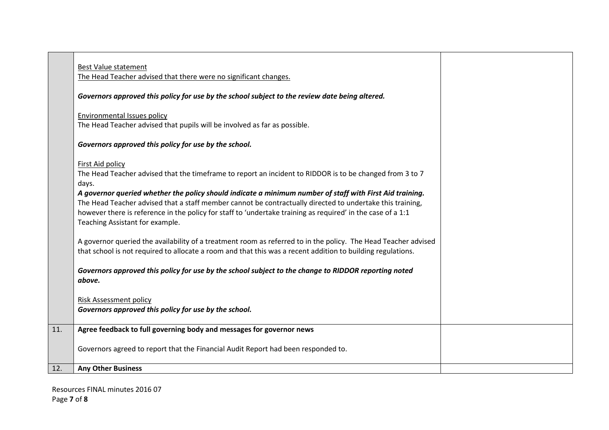| <b>Best Value statement</b><br>The Head Teacher advised that there were no significant changes.                                                                                                                                                                                                                                                                         |  |
|-------------------------------------------------------------------------------------------------------------------------------------------------------------------------------------------------------------------------------------------------------------------------------------------------------------------------------------------------------------------------|--|
|                                                                                                                                                                                                                                                                                                                                                                         |  |
| Governors approved this policy for use by the school subject to the review date being altered.                                                                                                                                                                                                                                                                          |  |
| <b>Environmental Issues policy</b>                                                                                                                                                                                                                                                                                                                                      |  |
| The Head Teacher advised that pupils will be involved as far as possible.                                                                                                                                                                                                                                                                                               |  |
| Governors approved this policy for use by the school.                                                                                                                                                                                                                                                                                                                   |  |
| First Aid policy                                                                                                                                                                                                                                                                                                                                                        |  |
| The Head Teacher advised that the timeframe to report an incident to RIDDOR is to be changed from 3 to 7<br>days.                                                                                                                                                                                                                                                       |  |
| A governor queried whether the policy should indicate a minimum number of staff with First Aid training.<br>The Head Teacher advised that a staff member cannot be contractually directed to undertake this training,<br>however there is reference in the policy for staff to 'undertake training as required' in the case of a 1:1<br>Teaching Assistant for example. |  |
| A governor queried the availability of a treatment room as referred to in the policy. The Head Teacher advised<br>that school is not required to allocate a room and that this was a recent addition to building regulations.                                                                                                                                           |  |
| Governors approved this policy for use by the school subject to the change to RIDDOR reporting noted<br>above.                                                                                                                                                                                                                                                          |  |
| <b>Risk Assessment policy</b>                                                                                                                                                                                                                                                                                                                                           |  |
| Governors approved this policy for use by the school.                                                                                                                                                                                                                                                                                                                   |  |
| Agree feedback to full governing body and messages for governor news                                                                                                                                                                                                                                                                                                    |  |
| Governors agreed to report that the Financial Audit Report had been responded to.                                                                                                                                                                                                                                                                                       |  |
| <b>Any Other Business</b>                                                                                                                                                                                                                                                                                                                                               |  |
|                                                                                                                                                                                                                                                                                                                                                                         |  |

Resources FINAL minutes 2016 07 Page **7** of **8**